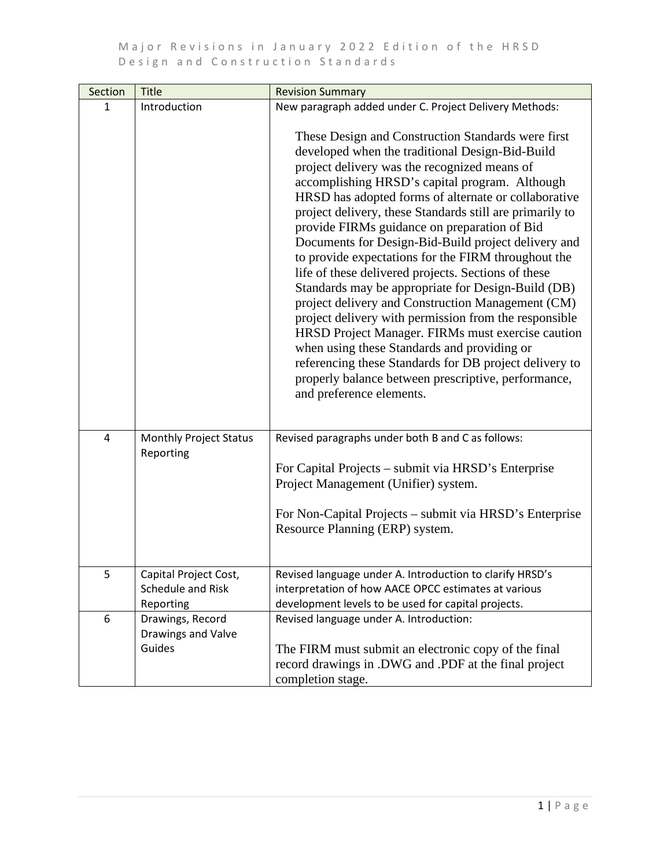| Section | <b>Title</b>                                            | <b>Revision Summary</b>                                                                                                                                                                                                                                                                                                                                                                                                                                                                                                                                                                                                                                                                                                                                                                                                                                                                                                                                                                                                         |
|---------|---------------------------------------------------------|---------------------------------------------------------------------------------------------------------------------------------------------------------------------------------------------------------------------------------------------------------------------------------------------------------------------------------------------------------------------------------------------------------------------------------------------------------------------------------------------------------------------------------------------------------------------------------------------------------------------------------------------------------------------------------------------------------------------------------------------------------------------------------------------------------------------------------------------------------------------------------------------------------------------------------------------------------------------------------------------------------------------------------|
| 1       | Introduction                                            | New paragraph added under C. Project Delivery Methods:<br>These Design and Construction Standards were first<br>developed when the traditional Design-Bid-Build<br>project delivery was the recognized means of<br>accomplishing HRSD's capital program. Although<br>HRSD has adopted forms of alternate or collaborative<br>project delivery, these Standards still are primarily to<br>provide FIRMs guidance on preparation of Bid<br>Documents for Design-Bid-Build project delivery and<br>to provide expectations for the FIRM throughout the<br>life of these delivered projects. Sections of these<br>Standards may be appropriate for Design-Build (DB)<br>project delivery and Construction Management (CM)<br>project delivery with permission from the responsible<br>HRSD Project Manager. FIRMs must exercise caution<br>when using these Standards and providing or<br>referencing these Standards for DB project delivery to<br>properly balance between prescriptive, performance,<br>and preference elements. |
| 4       | <b>Monthly Project Status</b><br>Reporting              | Revised paragraphs under both B and C as follows:<br>For Capital Projects – submit via HRSD's Enterprise<br>Project Management (Unifier) system.<br>For Non-Capital Projects – submit via HRSD's Enterprise<br>Resource Planning (ERP) system.                                                                                                                                                                                                                                                                                                                                                                                                                                                                                                                                                                                                                                                                                                                                                                                  |
| 5       | Capital Project Cost,<br>Schedule and Risk<br>Reporting | Revised language under A. Introduction to clarify HRSD's<br>interpretation of how AACE OPCC estimates at various<br>development levels to be used for capital projects.                                                                                                                                                                                                                                                                                                                                                                                                                                                                                                                                                                                                                                                                                                                                                                                                                                                         |
| 6       | Drawings, Record<br>Drawings and Valve<br>Guides        | Revised language under A. Introduction:<br>The FIRM must submit an electronic copy of the final<br>record drawings in .DWG and .PDF at the final project<br>completion stage.                                                                                                                                                                                                                                                                                                                                                                                                                                                                                                                                                                                                                                                                                                                                                                                                                                                   |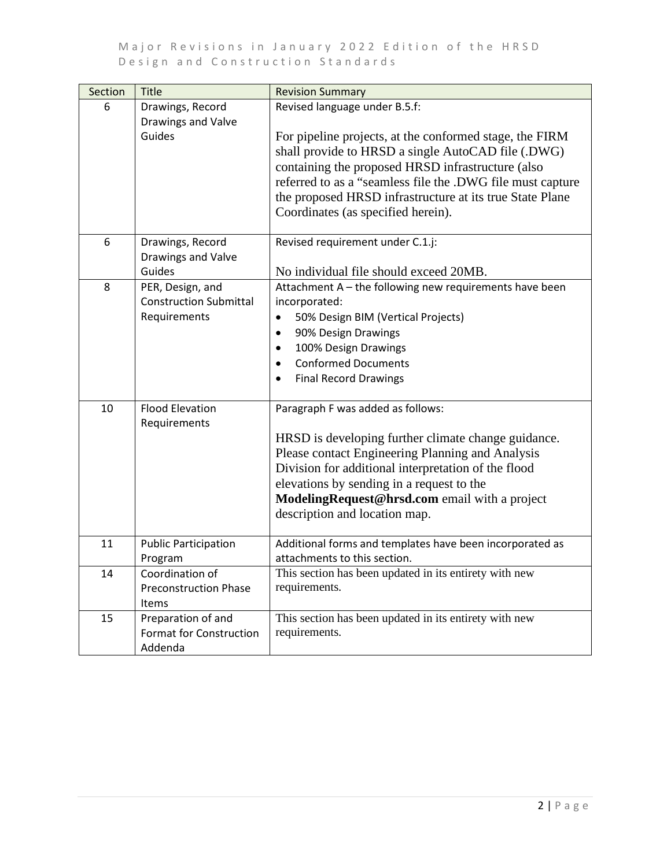| Section | <b>Title</b>                                                      | <b>Revision Summary</b>                                                                                                                                                                                                                                                                                                                                             |
|---------|-------------------------------------------------------------------|---------------------------------------------------------------------------------------------------------------------------------------------------------------------------------------------------------------------------------------------------------------------------------------------------------------------------------------------------------------------|
| 6       | Drawings, Record<br>Drawings and Valve<br>Guides                  | Revised language under B.5.f:<br>For pipeline projects, at the conformed stage, the FIRM<br>shall provide to HRSD a single AutoCAD file (.DWG)<br>containing the proposed HRSD infrastructure (also<br>referred to as a "seamless file the .DWG file must capture<br>the proposed HRSD infrastructure at its true State Plane<br>Coordinates (as specified herein). |
| 6       | Drawings, Record<br>Drawings and Valve<br>Guides                  | Revised requirement under C.1.j:<br>No individual file should exceed 20MB.                                                                                                                                                                                                                                                                                          |
| 8       | PER, Design, and<br><b>Construction Submittal</b><br>Requirements | Attachment A - the following new requirements have been<br>incorporated:<br>50% Design BIM (Vertical Projects)<br>$\bullet$<br>90% Design Drawings<br>$\bullet$<br>100% Design Drawings<br>$\bullet$<br><b>Conformed Documents</b><br>$\bullet$<br><b>Final Record Drawings</b><br>$\bullet$                                                                        |
| 10      | <b>Flood Elevation</b><br>Requirements                            | Paragraph F was added as follows:<br>HRSD is developing further climate change guidance.<br>Please contact Engineering Planning and Analysis<br>Division for additional interpretation of the flood<br>elevations by sending in a request to the<br>ModelingRequest@hrsd.com email with a project<br>description and location map.                                  |
| 11      | <b>Public Participation</b><br>Program                            | Additional forms and templates have been incorporated as<br>attachments to this section.                                                                                                                                                                                                                                                                            |
| 14      | Coordination of<br><b>Preconstruction Phase</b><br><b>Items</b>   | This section has been updated in its entirety with new<br>requirements.                                                                                                                                                                                                                                                                                             |
| 15      | Preparation of and<br><b>Format for Construction</b><br>Addenda   | This section has been updated in its entirety with new<br>requirements.                                                                                                                                                                                                                                                                                             |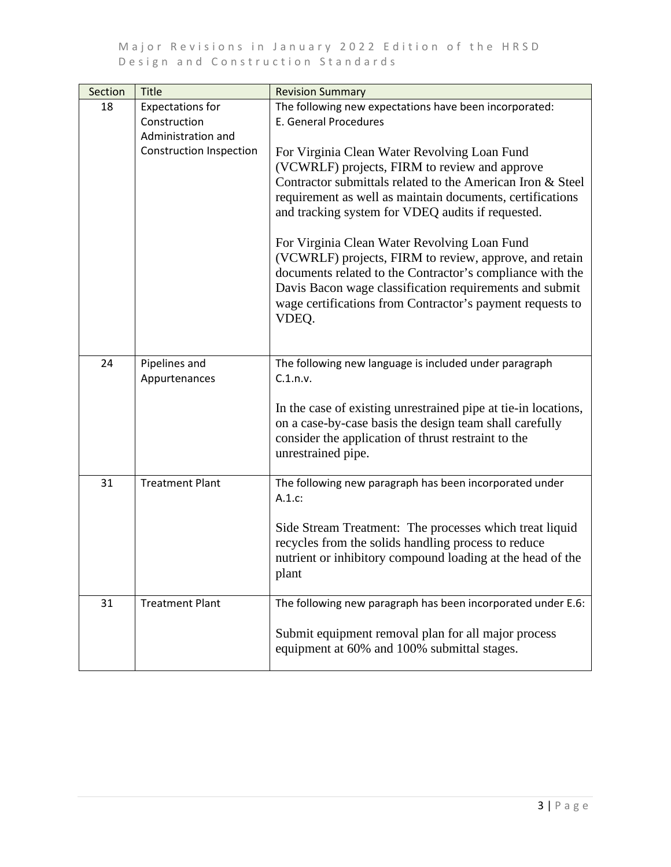| Section | <b>Title</b>                                                  | <b>Revision Summary</b>                                                                                                                                                                                                                                                                              |
|---------|---------------------------------------------------------------|------------------------------------------------------------------------------------------------------------------------------------------------------------------------------------------------------------------------------------------------------------------------------------------------------|
| 18      | <b>Expectations for</b><br>Construction<br>Administration and | The following new expectations have been incorporated:<br><b>E. General Procedures</b>                                                                                                                                                                                                               |
|         | <b>Construction Inspection</b>                                | For Virginia Clean Water Revolving Loan Fund<br>(VCWRLF) projects, FIRM to review and approve<br>Contractor submittals related to the American Iron & Steel<br>requirement as well as maintain documents, certifications<br>and tracking system for VDEQ audits if requested.                        |
|         |                                                               | For Virginia Clean Water Revolving Loan Fund<br>(VCWRLF) projects, FIRM to review, approve, and retain<br>documents related to the Contractor's compliance with the<br>Davis Bacon wage classification requirements and submit<br>wage certifications from Contractor's payment requests to<br>VDEQ. |
| 24      | Pipelines and                                                 | The following new language is included under paragraph                                                                                                                                                                                                                                               |
|         | Appurtenances                                                 | C.1.n.v.<br>In the case of existing unrestrained pipe at tie-in locations,<br>on a case-by-case basis the design team shall carefully<br>consider the application of thrust restraint to the<br>unrestrained pipe.                                                                                   |
| 31      | <b>Treatment Plant</b>                                        | The following new paragraph has been incorporated under<br>A.1.c.                                                                                                                                                                                                                                    |
|         |                                                               | Side Stream Treatment: The processes which treat liquid<br>recycles from the solids handling process to reduce<br>nutrient or inhibitory compound loading at the head of the<br>plant                                                                                                                |
| 31      | <b>Treatment Plant</b>                                        | The following new paragraph has been incorporated under E.6:<br>Submit equipment removal plan for all major process<br>equipment at 60% and 100% submittal stages.                                                                                                                                   |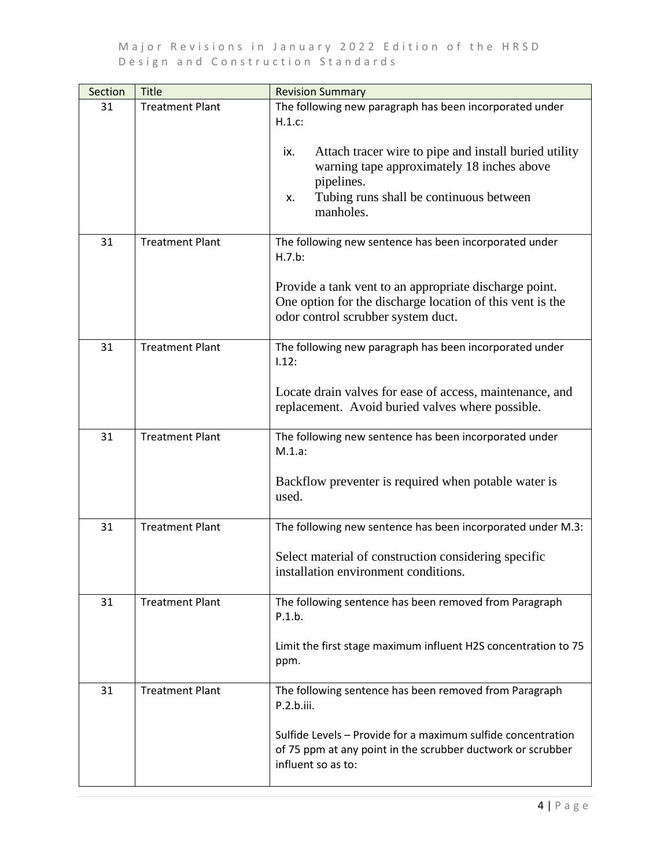| Section | <b>Title</b>           | <b>Revision Summary</b>                                                                                                                                                                |
|---------|------------------------|----------------------------------------------------------------------------------------------------------------------------------------------------------------------------------------|
| 31      | <b>Treatment Plant</b> | The following new paragraph has been incorporated under<br>H.1.c.                                                                                                                      |
|         |                        | Attach tracer wire to pipe and install buried utility<br>ix.<br>warning tape approximately 18 inches above<br>pipelines.<br>Tubing runs shall be continuous between<br>X.<br>manholes. |
|         |                        |                                                                                                                                                                                        |
| 31      | <b>Treatment Plant</b> | The following new sentence has been incorporated under<br>H.7.b:                                                                                                                       |
|         |                        | Provide a tank vent to an appropriate discharge point.<br>One option for the discharge location of this vent is the<br>odor control scrubber system duct.                              |
| 31      | <b>Treatment Plant</b> | The following new paragraph has been incorporated under<br>1.12:                                                                                                                       |
|         |                        | Locate drain valves for ease of access, maintenance, and<br>replacement. Avoid buried valves where possible.                                                                           |
| 31      | <b>Treatment Plant</b> | The following new sentence has been incorporated under<br>$M.1.a$ :                                                                                                                    |
|         |                        | Backflow preventer is required when potable water is<br>used.                                                                                                                          |
| 31      | <b>Treatment Plant</b> | The following new sentence has been incorporated under M.3:                                                                                                                            |
|         |                        | Select material of construction considering specific<br>installation environment conditions.                                                                                           |
| 31      | <b>Treatment Plant</b> | The following sentence has been removed from Paragraph<br>P.1.b.                                                                                                                       |
|         |                        | Limit the first stage maximum influent H2S concentration to 75<br>ppm.                                                                                                                 |
| 31      | <b>Treatment Plant</b> | The following sentence has been removed from Paragraph<br>P.2.b.iii.                                                                                                                   |
|         |                        | Sulfide Levels - Provide for a maximum sulfide concentration<br>of 75 ppm at any point in the scrubber ductwork or scrubber<br>influent so as to:                                      |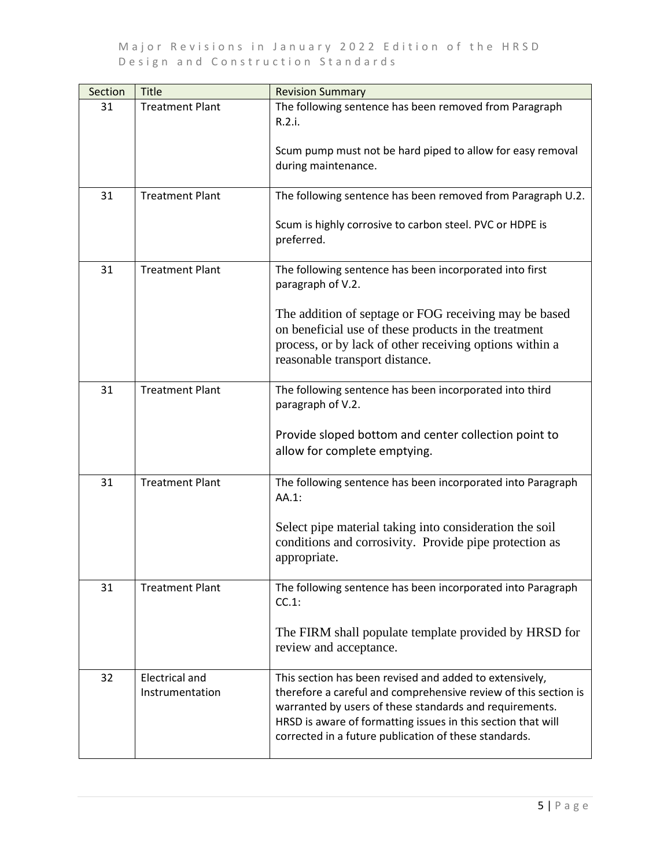| Section | Title                                    | <b>Revision Summary</b>                                                                                                                                                                                                                                                                                        |
|---------|------------------------------------------|----------------------------------------------------------------------------------------------------------------------------------------------------------------------------------------------------------------------------------------------------------------------------------------------------------------|
| 31      | <b>Treatment Plant</b>                   | The following sentence has been removed from Paragraph<br>R.2.i.                                                                                                                                                                                                                                               |
|         |                                          | Scum pump must not be hard piped to allow for easy removal<br>during maintenance.                                                                                                                                                                                                                              |
| 31      | <b>Treatment Plant</b>                   | The following sentence has been removed from Paragraph U.2.                                                                                                                                                                                                                                                    |
|         |                                          | Scum is highly corrosive to carbon steel. PVC or HDPE is<br>preferred.                                                                                                                                                                                                                                         |
| 31      | <b>Treatment Plant</b>                   | The following sentence has been incorporated into first<br>paragraph of V.2.                                                                                                                                                                                                                                   |
|         |                                          | The addition of septage or FOG receiving may be based<br>on beneficial use of these products in the treatment<br>process, or by lack of other receiving options within a<br>reasonable transport distance.                                                                                                     |
| 31      | <b>Treatment Plant</b>                   | The following sentence has been incorporated into third<br>paragraph of V.2.                                                                                                                                                                                                                                   |
|         |                                          | Provide sloped bottom and center collection point to<br>allow for complete emptying.                                                                                                                                                                                                                           |
| 31      | <b>Treatment Plant</b>                   | The following sentence has been incorporated into Paragraph<br>AA.1:                                                                                                                                                                                                                                           |
|         |                                          | Select pipe material taking into consideration the soil<br>conditions and corrosivity. Provide pipe protection as<br>appropriate.                                                                                                                                                                              |
| 31      | <b>Treatment Plant</b>                   | The following sentence has been incorporated into Paragraph<br>$CC.1$ :                                                                                                                                                                                                                                        |
|         |                                          | The FIRM shall populate template provided by HRSD for<br>review and acceptance.                                                                                                                                                                                                                                |
| 32      | <b>Electrical and</b><br>Instrumentation | This section has been revised and added to extensively,<br>therefore a careful and comprehensive review of this section is<br>warranted by users of these standards and requirements.<br>HRSD is aware of formatting issues in this section that will<br>corrected in a future publication of these standards. |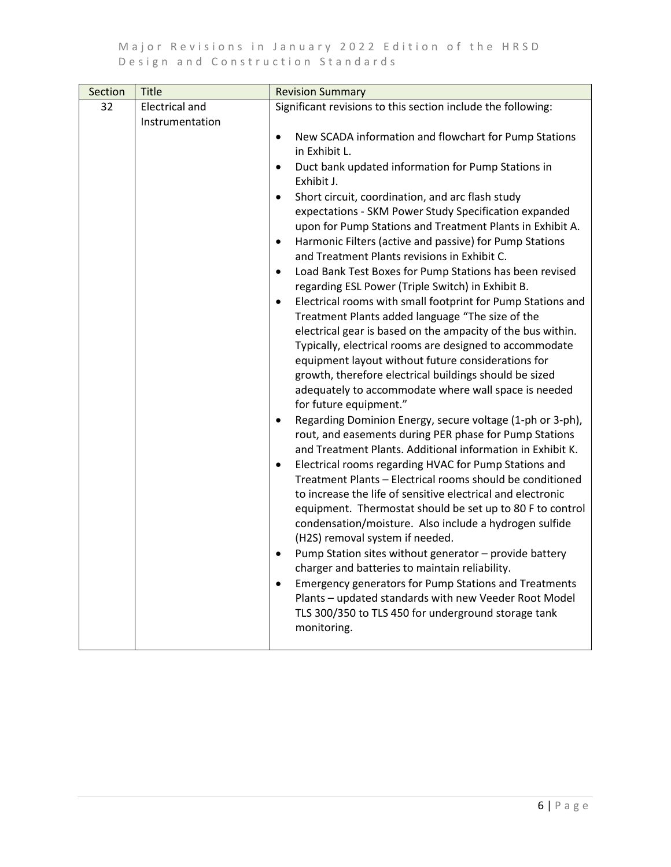| Section | <b>Title</b>                             | <b>Revision Summary</b>                                                                                                                                                                                                                                                                                                                                                                                                                                                                                                                                                                                                                                                                                                                                                                                                                                                                                                                                                                                                                                                                                                                                                                                                                                                                                                                                                                                                                                                                                                                                                                                                                    |
|---------|------------------------------------------|--------------------------------------------------------------------------------------------------------------------------------------------------------------------------------------------------------------------------------------------------------------------------------------------------------------------------------------------------------------------------------------------------------------------------------------------------------------------------------------------------------------------------------------------------------------------------------------------------------------------------------------------------------------------------------------------------------------------------------------------------------------------------------------------------------------------------------------------------------------------------------------------------------------------------------------------------------------------------------------------------------------------------------------------------------------------------------------------------------------------------------------------------------------------------------------------------------------------------------------------------------------------------------------------------------------------------------------------------------------------------------------------------------------------------------------------------------------------------------------------------------------------------------------------------------------------------------------------------------------------------------------------|
| 32      | <b>Electrical and</b><br>Instrumentation | Significant revisions to this section include the following:                                                                                                                                                                                                                                                                                                                                                                                                                                                                                                                                                                                                                                                                                                                                                                                                                                                                                                                                                                                                                                                                                                                                                                                                                                                                                                                                                                                                                                                                                                                                                                               |
|         |                                          | New SCADA information and flowchart for Pump Stations<br>$\bullet$<br>in Exhibit L.<br>Duct bank updated information for Pump Stations in<br>$\bullet$<br>Exhibit J.<br>Short circuit, coordination, and arc flash study<br>$\bullet$<br>expectations - SKM Power Study Specification expanded<br>upon for Pump Stations and Treatment Plants in Exhibit A.<br>Harmonic Filters (active and passive) for Pump Stations<br>$\bullet$<br>and Treatment Plants revisions in Exhibit C.<br>Load Bank Test Boxes for Pump Stations has been revised<br>$\bullet$<br>regarding ESL Power (Triple Switch) in Exhibit B.<br>Electrical rooms with small footprint for Pump Stations and<br>$\bullet$<br>Treatment Plants added language "The size of the<br>electrical gear is based on the ampacity of the bus within.<br>Typically, electrical rooms are designed to accommodate<br>equipment layout without future considerations for<br>growth, therefore electrical buildings should be sized<br>adequately to accommodate where wall space is needed<br>for future equipment."<br>Regarding Dominion Energy, secure voltage (1-ph or 3-ph),<br>$\bullet$<br>rout, and easements during PER phase for Pump Stations<br>and Treatment Plants. Additional information in Exhibit K.<br>Electrical rooms regarding HVAC for Pump Stations and<br>$\bullet$<br>Treatment Plants - Electrical rooms should be conditioned<br>to increase the life of sensitive electrical and electronic<br>equipment. Thermostat should be set up to 80 F to control<br>condensation/moisture. Also include a hydrogen sulfide<br>(H2S) removal system if needed. |
|         |                                          | Pump Station sites without generator - provide battery<br>$\bullet$<br>charger and batteries to maintain reliability.<br><b>Emergency generators for Pump Stations and Treatments</b><br>$\bullet$<br>Plants - updated standards with new Veeder Root Model<br>TLS 300/350 to TLS 450 for underground storage tank<br>monitoring.                                                                                                                                                                                                                                                                                                                                                                                                                                                                                                                                                                                                                                                                                                                                                                                                                                                                                                                                                                                                                                                                                                                                                                                                                                                                                                          |
|         |                                          |                                                                                                                                                                                                                                                                                                                                                                                                                                                                                                                                                                                                                                                                                                                                                                                                                                                                                                                                                                                                                                                                                                                                                                                                                                                                                                                                                                                                                                                                                                                                                                                                                                            |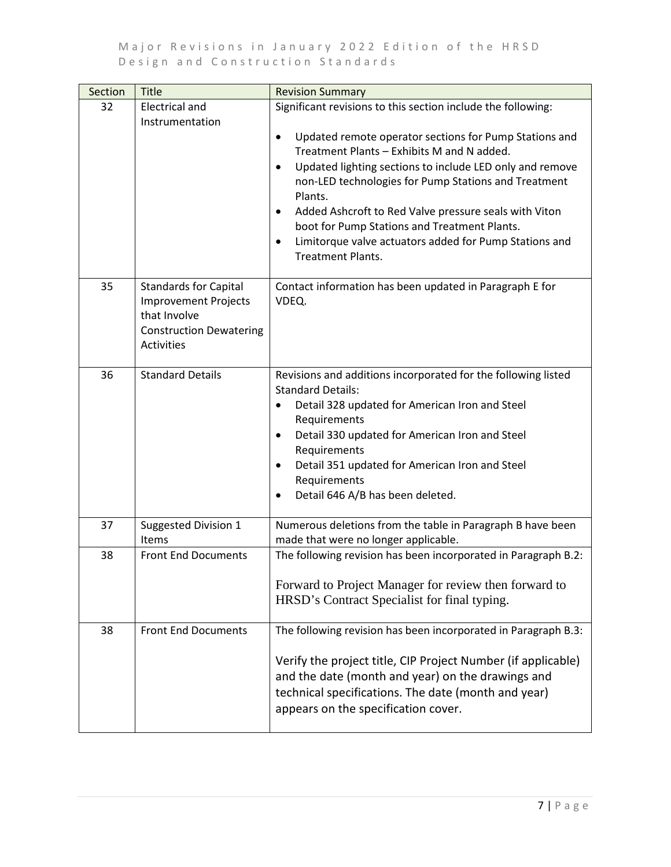| Section | <b>Title</b>                                                                                                                | <b>Revision Summary</b>                                                                                                                                                                                                                                                                                                                                                                                                                                                                                                                   |
|---------|-----------------------------------------------------------------------------------------------------------------------------|-------------------------------------------------------------------------------------------------------------------------------------------------------------------------------------------------------------------------------------------------------------------------------------------------------------------------------------------------------------------------------------------------------------------------------------------------------------------------------------------------------------------------------------------|
| 32      | <b>Electrical and</b><br>Instrumentation                                                                                    | Significant revisions to this section include the following:<br>Updated remote operator sections for Pump Stations and<br>Treatment Plants - Exhibits M and N added.<br>Updated lighting sections to include LED only and remove<br>$\bullet$<br>non-LED technologies for Pump Stations and Treatment<br>Plants.<br>Added Ashcroft to Red Valve pressure seals with Viton<br>$\bullet$<br>boot for Pump Stations and Treatment Plants.<br>Limitorque valve actuators added for Pump Stations and<br>$\bullet$<br><b>Treatment Plants.</b> |
| 35      | <b>Standards for Capital</b><br><b>Improvement Projects</b><br>that Involve<br><b>Construction Dewatering</b><br>Activities | Contact information has been updated in Paragraph E for<br>VDEQ.                                                                                                                                                                                                                                                                                                                                                                                                                                                                          |
| 36      | <b>Standard Details</b>                                                                                                     | Revisions and additions incorporated for the following listed<br><b>Standard Details:</b><br>Detail 328 updated for American Iron and Steel<br>Requirements<br>Detail 330 updated for American Iron and Steel<br>$\bullet$<br>Requirements<br>Detail 351 updated for American Iron and Steel<br>٠<br>Requirements<br>Detail 646 A/B has been deleted.                                                                                                                                                                                     |
| 37      | Suggested Division 1<br><b>Items</b>                                                                                        | Numerous deletions from the table in Paragraph B have been<br>made that were no longer applicable.                                                                                                                                                                                                                                                                                                                                                                                                                                        |
| 38      | <b>Front End Documents</b>                                                                                                  | The following revision has been incorporated in Paragraph B.2:<br>Forward to Project Manager for review then forward to<br>HRSD's Contract Specialist for final typing.                                                                                                                                                                                                                                                                                                                                                                   |
| 38      | <b>Front End Documents</b>                                                                                                  | The following revision has been incorporated in Paragraph B.3:<br>Verify the project title, CIP Project Number (if applicable)<br>and the date (month and year) on the drawings and<br>technical specifications. The date (month and year)<br>appears on the specification cover.                                                                                                                                                                                                                                                         |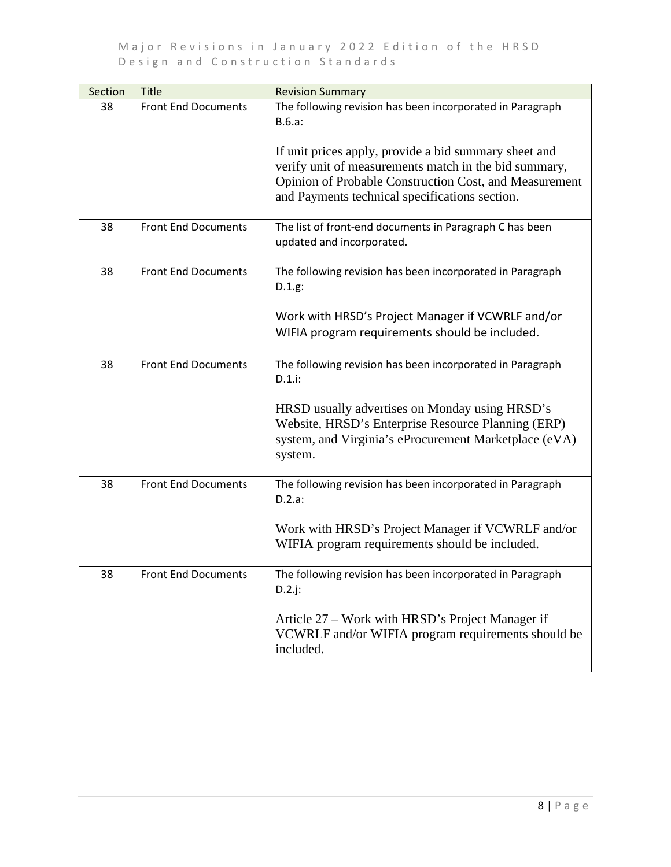| Section | <b>Title</b>               | <b>Revision Summary</b>                                                                                                                                                                                                    |
|---------|----------------------------|----------------------------------------------------------------------------------------------------------------------------------------------------------------------------------------------------------------------------|
| 38      | <b>Front End Documents</b> | The following revision has been incorporated in Paragraph<br>B.6.a:                                                                                                                                                        |
|         |                            | If unit prices apply, provide a bid summary sheet and<br>verify unit of measurements match in the bid summary,<br>Opinion of Probable Construction Cost, and Measurement<br>and Payments technical specifications section. |
| 38      | <b>Front End Documents</b> | The list of front-end documents in Paragraph C has been<br>updated and incorporated.                                                                                                                                       |
| 38      | <b>Front End Documents</b> | The following revision has been incorporated in Paragraph<br>D.1.g.                                                                                                                                                        |
|         |                            | Work with HRSD's Project Manager if VCWRLF and/or<br>WIFIA program requirements should be included.                                                                                                                        |
| 38      | <b>Front End Documents</b> | The following revision has been incorporated in Paragraph<br>$D.1.i$ :                                                                                                                                                     |
|         |                            | HRSD usually advertises on Monday using HRSD's<br>Website, HRSD's Enterprise Resource Planning (ERP)<br>system, and Virginia's eProcurement Marketplace (eVA)<br>system.                                                   |
| 38      | <b>Front End Documents</b> | The following revision has been incorporated in Paragraph<br>D.2.a:                                                                                                                                                        |
|         |                            | Work with HRSD's Project Manager if VCWRLF and/or<br>WIFIA program requirements should be included.                                                                                                                        |
| 38      | Front End Documents        | The following revision has been incorporated in Paragraph<br>$D.2$ .j:                                                                                                                                                     |
|         |                            | Article 27 – Work with HRSD's Project Manager if<br>VCWRLF and/or WIFIA program requirements should be<br>included.                                                                                                        |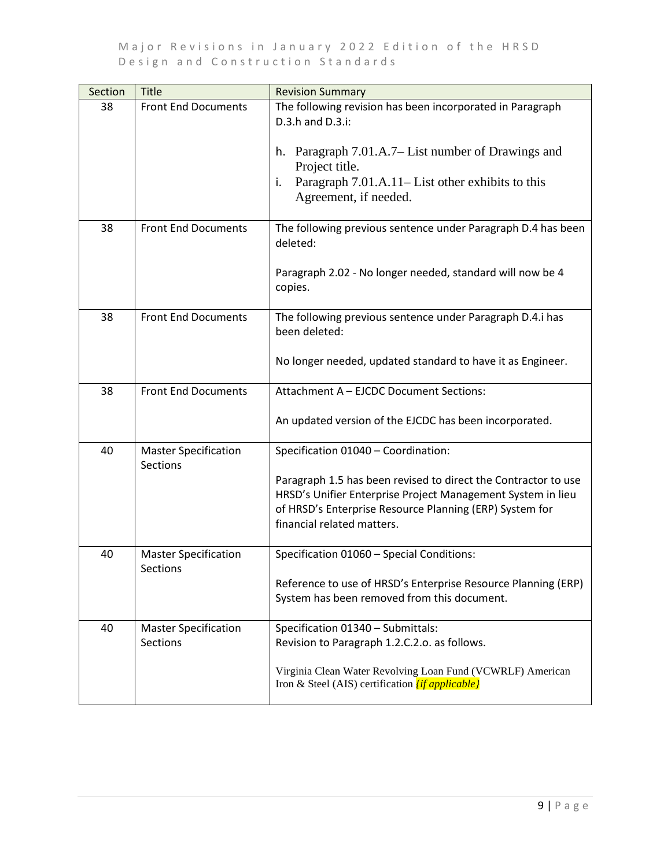| Section | <b>Title</b>                                   | <b>Revision Summary</b>                                                                                                                                                                                                |
|---------|------------------------------------------------|------------------------------------------------------------------------------------------------------------------------------------------------------------------------------------------------------------------------|
| 38      | <b>Front End Documents</b>                     | The following revision has been incorporated in Paragraph<br>D.3.h and D.3.i:                                                                                                                                          |
|         |                                                | h. Paragraph 7.01.A.7– List number of Drawings and<br>Project title.                                                                                                                                                   |
|         |                                                | Paragraph 7.01.A.11–List other exhibits to this<br>i.<br>Agreement, if needed.                                                                                                                                         |
| 38      | <b>Front End Documents</b>                     | The following previous sentence under Paragraph D.4 has been<br>deleted:                                                                                                                                               |
|         |                                                | Paragraph 2.02 - No longer needed, standard will now be 4<br>copies.                                                                                                                                                   |
| 38      | <b>Front End Documents</b>                     | The following previous sentence under Paragraph D.4.i has<br>been deleted:                                                                                                                                             |
|         |                                                | No longer needed, updated standard to have it as Engineer.                                                                                                                                                             |
| 38      | <b>Front End Documents</b>                     | Attachment A - EJCDC Document Sections:                                                                                                                                                                                |
|         |                                                | An updated version of the EJCDC has been incorporated.                                                                                                                                                                 |
| 40      | <b>Master Specification</b><br><b>Sections</b> | Specification 01040 - Coordination:                                                                                                                                                                                    |
|         |                                                | Paragraph 1.5 has been revised to direct the Contractor to use<br>HRSD's Unifier Enterprise Project Management System in lieu<br>of HRSD's Enterprise Resource Planning (ERP) System for<br>financial related matters. |
| 40      | <b>Master Specification</b><br>Sections        | Specification 01060 - Special Conditions:                                                                                                                                                                              |
|         |                                                | Reference to use of HRSD's Enterprise Resource Planning (ERP)<br>System has been removed from this document.                                                                                                           |
| 40      | <b>Master Specification</b><br>Sections        | Specification 01340 - Submittals:<br>Revision to Paragraph 1.2.C.2.o. as follows.                                                                                                                                      |
|         |                                                | Virginia Clean Water Revolving Loan Fund (VCWRLF) American<br>Iron & Steel (AIS) certification <i>(if applicable)</i>                                                                                                  |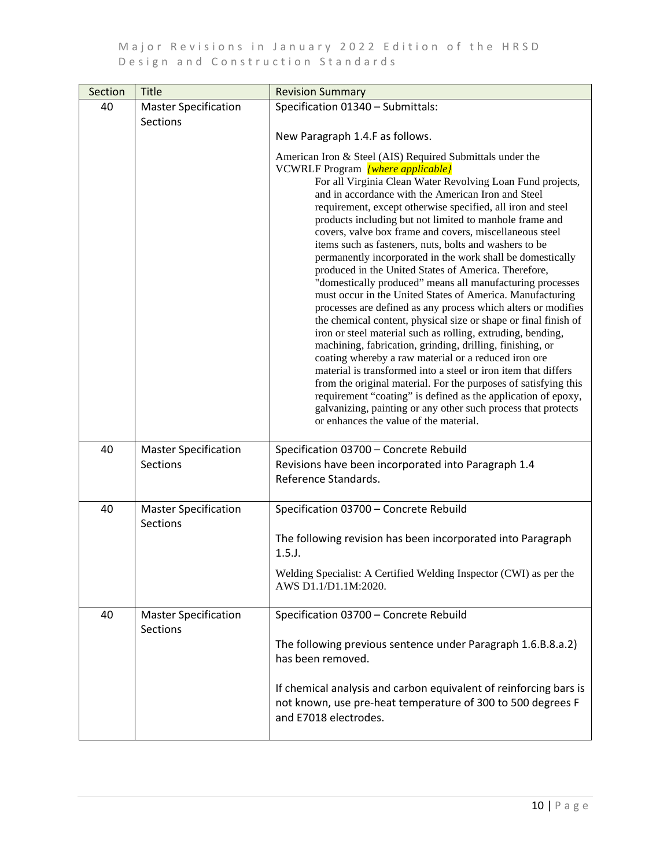| Section | Title                                          | <b>Revision Summary</b>                                                                                                                                                                                                                                                                                                                                                                                                                                                                                                                                                                                                                                                                                                                                                                                                                                                                                                                                                                                                                                                                                                                                                                                                                                                                       |
|---------|------------------------------------------------|-----------------------------------------------------------------------------------------------------------------------------------------------------------------------------------------------------------------------------------------------------------------------------------------------------------------------------------------------------------------------------------------------------------------------------------------------------------------------------------------------------------------------------------------------------------------------------------------------------------------------------------------------------------------------------------------------------------------------------------------------------------------------------------------------------------------------------------------------------------------------------------------------------------------------------------------------------------------------------------------------------------------------------------------------------------------------------------------------------------------------------------------------------------------------------------------------------------------------------------------------------------------------------------------------|
| 40      | <b>Master Specification</b>                    | Specification 01340 - Submittals:                                                                                                                                                                                                                                                                                                                                                                                                                                                                                                                                                                                                                                                                                                                                                                                                                                                                                                                                                                                                                                                                                                                                                                                                                                                             |
|         | <b>Sections</b>                                | New Paragraph 1.4.F as follows.<br>American Iron & Steel (AIS) Required Submittals under the                                                                                                                                                                                                                                                                                                                                                                                                                                                                                                                                                                                                                                                                                                                                                                                                                                                                                                                                                                                                                                                                                                                                                                                                  |
|         |                                                | VCWRLF Program [where applicable]<br>For all Virginia Clean Water Revolving Loan Fund projects,<br>and in accordance with the American Iron and Steel<br>requirement, except otherwise specified, all iron and steel<br>products including but not limited to manhole frame and<br>covers, valve box frame and covers, miscellaneous steel<br>items such as fasteners, nuts, bolts and washers to be<br>permanently incorporated in the work shall be domestically<br>produced in the United States of America. Therefore,<br>"domestically produced" means all manufacturing processes<br>must occur in the United States of America. Manufacturing<br>processes are defined as any process which alters or modifies<br>the chemical content, physical size or shape or final finish of<br>iron or steel material such as rolling, extruding, bending,<br>machining, fabrication, grinding, drilling, finishing, or<br>coating whereby a raw material or a reduced iron ore<br>material is transformed into a steel or iron item that differs<br>from the original material. For the purposes of satisfying this<br>requirement "coating" is defined as the application of epoxy,<br>galvanizing, painting or any other such process that protects<br>or enhances the value of the material. |
| 40      | <b>Master Specification</b><br><b>Sections</b> | Specification 03700 - Concrete Rebuild<br>Revisions have been incorporated into Paragraph 1.4<br>Reference Standards.                                                                                                                                                                                                                                                                                                                                                                                                                                                                                                                                                                                                                                                                                                                                                                                                                                                                                                                                                                                                                                                                                                                                                                         |
| 40      | <b>Master Specification</b><br>Sections        | Specification 03700 - Concrete Rebuild                                                                                                                                                                                                                                                                                                                                                                                                                                                                                                                                                                                                                                                                                                                                                                                                                                                                                                                                                                                                                                                                                                                                                                                                                                                        |
|         |                                                | The following revision has been incorporated into Paragraph<br>1.5.                                                                                                                                                                                                                                                                                                                                                                                                                                                                                                                                                                                                                                                                                                                                                                                                                                                                                                                                                                                                                                                                                                                                                                                                                           |
|         |                                                | Welding Specialist: A Certified Welding Inspector (CWI) as per the<br>AWS D1.1/D1.1M:2020.                                                                                                                                                                                                                                                                                                                                                                                                                                                                                                                                                                                                                                                                                                                                                                                                                                                                                                                                                                                                                                                                                                                                                                                                    |
| 40      | <b>Master Specification</b><br><b>Sections</b> | Specification 03700 - Concrete Rebuild                                                                                                                                                                                                                                                                                                                                                                                                                                                                                                                                                                                                                                                                                                                                                                                                                                                                                                                                                                                                                                                                                                                                                                                                                                                        |
|         |                                                | The following previous sentence under Paragraph 1.6.B.8.a.2)<br>has been removed.                                                                                                                                                                                                                                                                                                                                                                                                                                                                                                                                                                                                                                                                                                                                                                                                                                                                                                                                                                                                                                                                                                                                                                                                             |
|         |                                                | If chemical analysis and carbon equivalent of reinforcing bars is<br>not known, use pre-heat temperature of 300 to 500 degrees F<br>and E7018 electrodes.                                                                                                                                                                                                                                                                                                                                                                                                                                                                                                                                                                                                                                                                                                                                                                                                                                                                                                                                                                                                                                                                                                                                     |